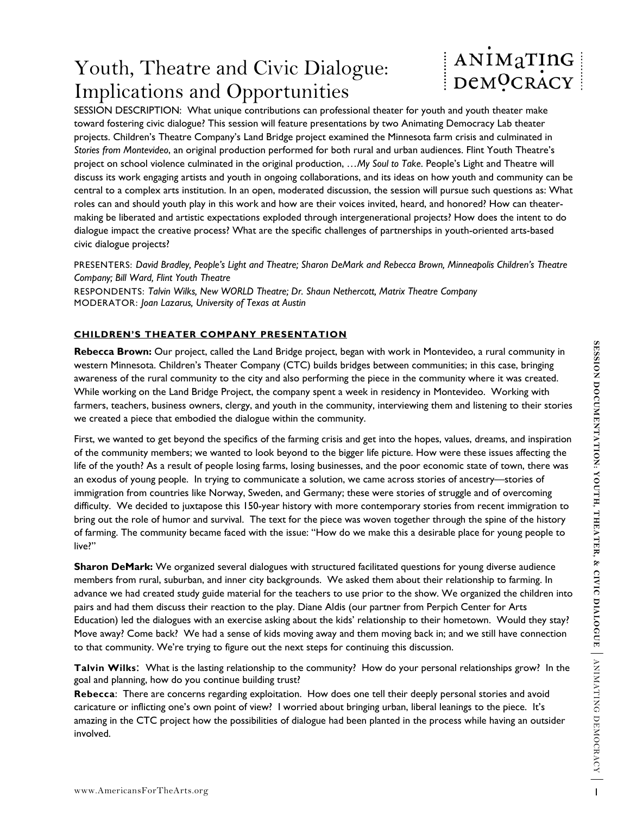# Youth, Theatre and Civic Dialogue: Implications and Opportunities

# ANIMATING DeMOCRACY

SESSION DESCRIPTION: What unique contributions can professional theater for youth and youth theater make toward fostering civic dialogue? This session will feature presentations by two Animating Democracy Lab theater projects. Children's Theatre Company's Land Bridge project examined the Minnesota farm crisis and culminated in *Stories from Montevideo*, an original production performed for both rural and urban audiences. Flint Youth Theatre's project on school violence culminated in the original production, *…My Soul to Take*. People's Light and Theatre will discuss its work engaging artists and youth in ongoing collaborations, and its ideas on how youth and community can be central to a complex arts institution. In an open, moderated discussion, the session will pursue such questions as: What roles can and should youth play in this work and how are their voices invited, heard, and honored? How can theatermaking be liberated and artistic expectations exploded through intergenerational projects? How does the intent to do dialogue impact the creative process? What are the specific challenges of partnerships in youth-oriented arts-based civic dialogue projects?

PRESENTERS: *David Bradley, People's Light and Theatre; Sharon DeMark and Rebecca Brown, Minneapolis Children's Theatre Company; Bill Ward, Flint Youth Theatre* 

RESPONDENTS: *Talvin Wilks, New WORLD Theatre; Dr. Shaun Nethercott, Matrix Theatre Company*  MODERATOR: *Joan Lazarus, University of Texas at Austin*

# **CHILDREN'S THEATER COMPANY PRESENTATION**

**Rebecca Brown:** Our project, called the Land Bridge project, began with work in Montevideo, a rural community in western Minnesota. Children's Theater Company (CTC) builds bridges between communities; in this case, bringing awareness of the rural community to the city and also performing the piece in the community where it was created. While working on the Land Bridge Project, the company spent a week in residency in Montevideo. Working with farmers, teachers, business owners, clergy, and youth in the community, interviewing them and listening to their stories we created a piece that embodied the dialogue within the community.

**Reflects Brown:** Our project, called the land Bridge project, began with work in Montevicto, a rural community in<br>western Minnesota. Children's Theater Company (CTC) builds bridges between communities: in this case, bring First, we wanted to get beyond the specifics of the farming crisis and get into the hopes, values, dreams, and inspiration of the community members; we wanted to look beyond to the bigger life picture. How were these issues affecting the life of the youth? As a result of people losing farms, losing businesses, and the poor economic state of town, there was an exodus of young people. In trying to communicate a solution, we came across stories of ancestry—stories of immigration from countries like Norway, Sweden, and Germany; these were stories of struggle and of overcoming difficulty. We decided to juxtapose this 150-year history with more contemporary stories from recent immigration to bring out the role of humor and survival. The text for the piece was woven together through the spine of the history of farming. The community became faced with the issue: "How do we make this a desirable place for young people to live?"

**Sharon DeMark:** We organized several dialogues with structured facilitated questions for young diverse audience members from rural, suburban, and inner city backgrounds. We asked them about their relationship to farming. In advance we had created study guide material for the teachers to use prior to the show. We organized the children into pairs and had them discuss their reaction to the play. Diane Aldis (our partner from Perpich Center for Arts Education) led the dialogues with an exercise asking about the kids' relationship to their hometown. Would they stay? Move away? Come back? We had a sense of kids moving away and them moving back in; and we still have connection to that community. We're trying to figure out the next steps for continuing this discussion.

**Talvin Wilks**: What is the lasting relationship to the community? How do your personal relationships grow? In the goal and planning, how do you continue building trust?

**Rebecca**: There are concerns regarding exploitation. How does one tell their deeply personal stories and avoid caricature or inflicting one's own point of view? I worried about bringing urban, liberal leanings to the piece. It's amazing in the CTC project how the possibilities of dialogue had been planted in the process while having an outsider involved.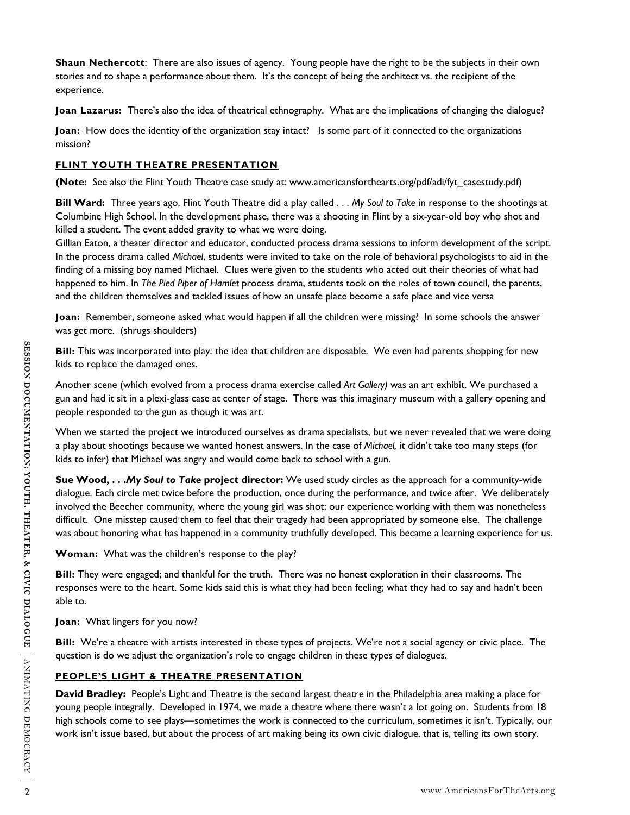**Shaun Nethercott**: There are also issues of agency. Young people have the right to be the subjects in their own stories and to shape a performance about them. It's the concept of being the architect vs. the recipient of the experience.

**Joan Lazarus:** There's also the idea of theatrical ethnography. What are the implications of changing the dialogue?

**Joan:** How does the identity of the organization stay intact? Is some part of it connected to the organizations mission?

## **FLINT YOUTH THEATRE PRESENTATION**

**(Note:** See also the Flint Youth Theatre case study at: www.americansforthearts.org/pdf/adi/fyt\_casestudy.pdf)

**Bill Ward:** Three years ago, Flint Youth Theatre did a play called . . . *My Soul to Take* in response to the shootings at Columbine High School. In the development phase, there was a shooting in Flint by a six-year-old boy who shot and killed a student. The event added gravity to what we were doing.

Gillian Eaton, a theater director and educator, conducted process drama sessions to inform development of the script. In the process drama called *Michael*, students were invited to take on the role of behavioral psychologists to aid in the finding of a missing boy named Michael. Clues were given to the students who acted out their theories of what had happened to him. In *The Pied Piper of Hamlet* process drama, students took on the roles of town council, the parents, and the children themselves and tackled issues of how an unsafe place become a safe place and vice versa

**Joan:** Remember, someone asked what would happen if all the children were missing? In some schools the answer was get more. (shrugs shoulders)

**Bill:** This was incorporated into play: the idea that children are disposable. We even had parents shopping for new kids to replace the damaged ones.

Another scene (which evolved from a process drama exercise called *Art Gallery)* was an art exhibit. We purchased a gun and had it sit in a plexi-glass case at center of stage. There was this imaginary museum with a gallery opening and people responded to the gun as though it was art.

When we started the project we introduced ourselves as drama specialists, but we never revealed that we were doing a play about shootings because we wanted honest answers. In the case of *Michael,* it didn't take too many steps (for kids to infer) that Michael was angry and would come back to school with a gun.

We are that this was incorporated into player the video state. We are that particles into the proportion and that is the player shares and that is the player state. We purchased a good in earth with a pair-field that it i **Sue Wood, . . .***My Soul to Take* **project director:** We used study circles as the approach for a community-wide dialogue. Each circle met twice before the production, once during the performance, and twice after. We deliberately involved the Beecher community, where the young girl was shot; our experience working with them was nonetheless difficult. One misstep caused them to feel that their tragedy had been appropriated by someone else. The challenge was about honoring what has happened in a community truthfully developed. This became a learning experience for us.

**Woman:** What was the children's response to the play?

**Bill:** They were engaged; and thankful for the truth. There was no honest exploration in their classrooms. The responses were to the heart. Some kids said this is what they had been feeling; what they had to say and hadn't been able to.

**Joan:** What lingers for you now?

**Bill:** We're a theatre with artists interested in these types of projects. We're not a social agency or civic place. The question is do we adjust the organization's role to engage children in these types of dialogues.

# **PEOPLE'S LIGHT & THEATRE PRESENTATION**

**David Bradley:** People's Light and Theatre is the second largest theatre in the Philadelphia area making a place for young people integrally. Developed in 1974, we made a theatre where there wasn't a lot going on. Students from 18 high schools come to see plays—sometimes the work is connected to the curriculum, sometimes it isn't. Typically, our work isn't issue based, but about the process of art making being its own civic dialogue, that is, telling its own story.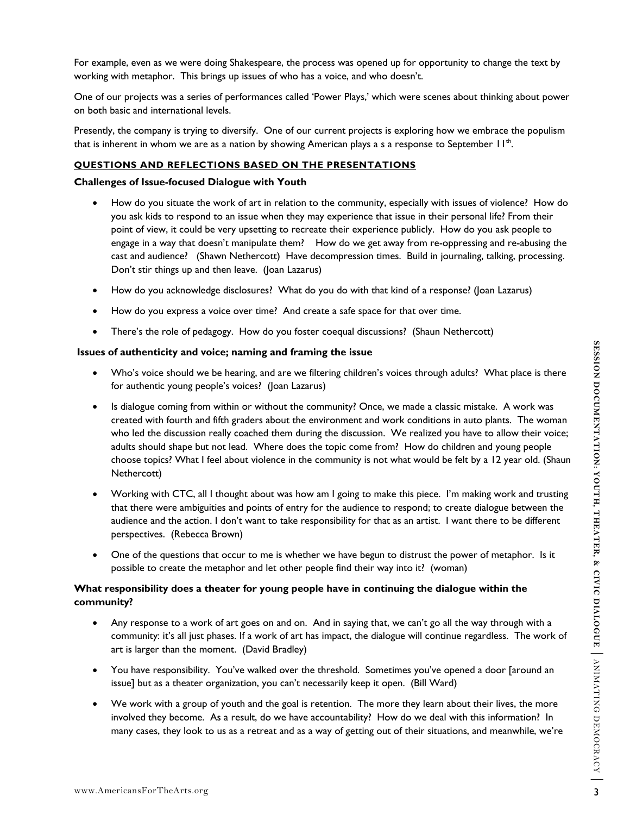For example, even as we were doing Shakespeare, the process was opened up for opportunity to change the text by working with metaphor. This brings up issues of who has a voice, and who doesn't.

One of our projects was a series of performances called 'Power Plays,' which were scenes about thinking about power on both basic and international levels.

Presently, the company is trying to diversify. One of our current projects is exploring how we embrace the populism that is inherent in whom we are as a nation by showing American plays a s a response to September  $11<sup>th</sup>$ .

#### **QUESTIONS AND REFLECTIONS BASED ON THE PRESENTATIONS**

#### **Challenges of Issue-focused Dialogue with Youth**

- How do you situate the work of art in relation to the community, especially with issues of violence? How do you ask kids to respond to an issue when they may experience that issue in their personal life? From their point of view, it could be very upsetting to recreate their experience publicly. How do you ask people to engage in a way that doesn't manipulate them? How do we get away from re-oppressing and re-abusing the cast and audience? (Shawn Nethercott) Have decompression times. Build in journaling, talking, processing. Don't stir things up and then leave. (Joan Lazarus)
- How do you acknowledge disclosures? What do you do with that kind of a response? (Joan Lazarus)
- How do you express a voice over time? And create a safe space for that over time.
- There's the role of pedagogy. How do you foster coequal discussions? (Shaun Nethercott)

#### **Issues of authenticity and voice; naming and framing the issue**

- Who's voice should we be hearing, and are we filtering children's voices through adults? What place is there for authentic young people's voices? (Joan Lazarus)
- **Exues of authenticity and voice; naming and framing the issue<br>
Who's vivors entoucle we be hearing challocars voices chromatical Marting Comparison (For authentic young people's vivices' (loan Lanarus)<br>
It dialogue compar** • Is dialogue coming from within or without the community? Once, we made a classic mistake. A work was created with fourth and fifth graders about the environment and work conditions in auto plants. The woman who led the discussion really coached them during the discussion. We realized you have to allow their voice; adults should shape but not lead. Where does the topic come from? How do children and young people choose topics? What I feel about violence in the community is not what would be felt by a 12 year old. (Shaun Nethercott)
	- Working with CTC, all I thought about was how am I going to make this piece. I'm making work and trusting that there were ambiguities and points of entry for the audience to respond; to create dialogue between the audience and the action. I don't want to take responsibility for that as an artist. I want there to be different perspectives. (Rebecca Brown)
	- One of the questions that occur to me is whether we have begun to distrust the power of metaphor. Is it possible to create the metaphor and let other people find their way into it? (woman)

### **What responsibility does a theater for young people have in continuing the dialogue within the community?**

- Any response to a work of art goes on and on. And in saying that, we can't go all the way through with a community: it's all just phases. If a work of art has impact, the dialogue will continue regardless. The work of art is larger than the moment. (David Bradley)
- You have responsibility. You've walked over the threshold. Sometimes you've opened a door [around an issue] but as a theater organization, you can't necessarily keep it open. (Bill Ward)
- We work with a group of youth and the goal is retention. The more they learn about their lives, the more involved they become. As a result, do we have accountability? How do we deal with this information? In many cases, they look to us as a retreat and as a way of getting out of their situations, and meanwhile, we're